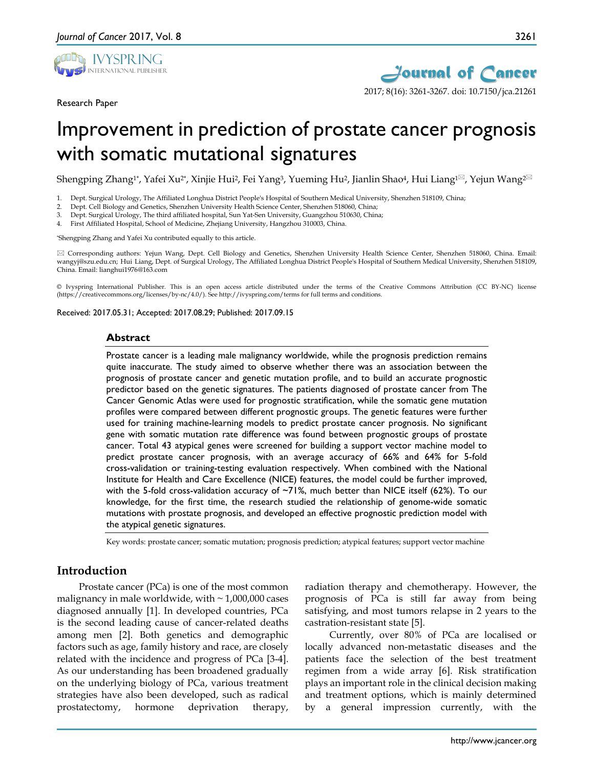

Research Paper



# Improvement in prediction of prostate cancer prognosis with somatic mutational signatures

Shengping Zhang<sup>1\*</sup>, Yafei Xu<sup>2\*</sup>, Xinjie Hui<sup>2</sup>, Fei Yang<sup>3</sup>, Yueming Hu<sup>2</sup>, Jianlin Shao<sup>4</sup>, Hui Liang<sup>1⊠</sup>, Yejun Wang<sup>2⊠</sup>

1. Dept. Surgical Urology, The Affiliated Longhua District People's Hospital of Southern Medical University, Shenzhen 518109, China;<br>2. Dept. Cell Biology and Genetics. Shenzhen University Health Science Center. Shenzhen 5

2. Dept. Cell Biology and Genetics, Shenzhen University Health Science Center, Shenzhen 518060, China;<br>2. Dept. Surgical Urology. The third affiliated hospital. Sun Yat-Sen University. Guangzhou 510630. China;

3. Dept. Surgical Urology, The third affiliated hospital, Sun Yat-Sen University, Guangzhou 510630, China;

4. First Affiliated Hospital, School of Medicine, Zhejiang University, Hangzhou 310003, China.

\*Shengping Zhang and Yafei Xu contributed equally to this article.

 Corresponding authors: Yejun Wang, Dept. Cell Biology and Genetics, Shenzhen University Health Science Center, Shenzhen 518060, China. Email: wangyj@szu.edu.cn; Hui Liang, Dept. of Surgical Urology, The Affiliated Longhua District People's Hospital of Southern Medical University, Shenzhen 518109, China. Email: lianghui1976@163.com

© Ivyspring International Publisher. This is an open access article distributed under the terms of the Creative Commons Attribution (CC BY-NC) license (https://creativecommons.org/licenses/by-nc/4.0/). See http://ivyspring.com/terms for full terms and conditions.

Received: 2017.05.31; Accepted: 2017.08.29; Published: 2017.09.15

#### **Abstract**

Prostate cancer is a leading male malignancy worldwide, while the prognosis prediction remains quite inaccurate. The study aimed to observe whether there was an association between the prognosis of prostate cancer and genetic mutation profile, and to build an accurate prognostic predictor based on the genetic signatures. The patients diagnosed of prostate cancer from The Cancer Genomic Atlas were used for prognostic stratification, while the somatic gene mutation profiles were compared between different prognostic groups. The genetic features were further used for training machine-learning models to predict prostate cancer prognosis. No significant gene with somatic mutation rate difference was found between prognostic groups of prostate cancer. Total 43 atypical genes were screened for building a support vector machine model to predict prostate cancer prognosis, with an average accuracy of 66% and 64% for 5-fold cross-validation or training-testing evaluation respectively. When combined with the National Institute for Health and Care Excellence (NICE) features, the model could be further improved, with the 5-fold cross-validation accuracy of  $-71\%$ , much better than NICE itself (62%). To our knowledge, for the first time, the research studied the relationship of genome-wide somatic mutations with prostate prognosis, and developed an effective prognostic prediction model with the atypical genetic signatures.

Key words: prostate cancer; somatic mutation; prognosis prediction; atypical features; support vector machine

## **Introduction**

Prostate cancer (PCa) is one of the most common malignancy in male worldwide, with  $\sim 1,000,000$  cases diagnosed annually [1]. In developed countries, PCa is the second leading cause of cancer-related deaths among men [2]. Both genetics and demographic factors such as age, family history and race, are closely related with the incidence and progress of PCa [3-4]. As our understanding has been broadened gradually on the underlying biology of PCa, various treatment strategies have also been developed, such as radical prostatectomy, hormone deprivation therapy,

radiation therapy and chemotherapy. However, the prognosis of PCa is still far away from being satisfying, and most tumors relapse in 2 years to the castration-resistant state [5].

Currently, over 80% of PCa are localised or locally advanced non-metastatic diseases and the patients face the selection of the best treatment regimen from a wide array [6]. Risk stratification plays an important role in the clinical decision making and treatment options, which is mainly determined by a general impression currently, with the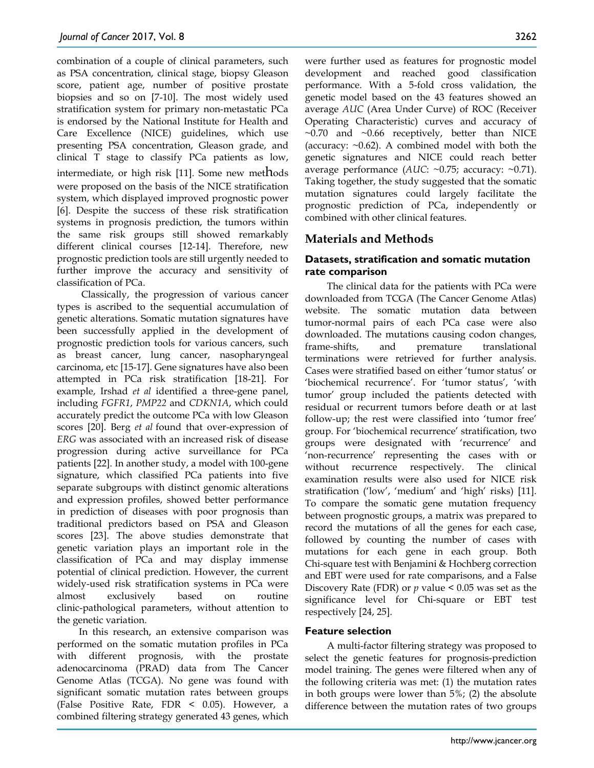combination of a couple of clinical parameters, such as PSA concentration, clinical stage, biopsy Gleason score, patient age, number of positive prostate biopsies and so on [7-10]. The most widely used stratification system for primary non-metastatic PCa is endorsed by the National Institute for Health and Care Excellence (NICE) guidelines, which use presenting PSA concentration, Gleason grade, and clinical T stage to classify PCa patients as low, intermediate, or high risk [11]. Some new methods were proposed on the basis of the NICE stratification system, which displayed improved prognostic power [6]. Despite the success of these risk stratification systems in prognosis prediction, the tumors within the same risk groups still showed remarkably different clinical courses [12-14]. Therefore, new prognostic prediction tools are still urgently needed to further improve the accuracy and sensitivity of classification of PCa.

Classically, the progression of various cancer types is ascribed to the sequential accumulation of genetic alterations. Somatic mutation signatures have been successfully applied in the development of prognostic prediction tools for various cancers, such as breast cancer, lung cancer, nasopharyngeal carcinoma, etc [15-17]. Gene signatures have also been attempted in PCa risk stratification [18-21]. For example, Irshad *et al* identified a three-gene panel, including *FGFR1*, *PMP22* and *CDKN1A*, which could accurately predict the outcome PCa with low Gleason scores [20]. Berg *et al* found that over-expression of *ERG* was associated with an increased risk of disease progression during active surveillance for PCa patients [22]. In another study, a model with 100-gene signature, which classified PCa patients into five separate subgroups with distinct genomic alterations and expression profiles, showed better performance in prediction of diseases with poor prognosis than traditional predictors based on PSA and Gleason scores [23]. The above studies demonstrate that genetic variation plays an important role in the classification of PCa and may display immense potential of clinical prediction. However, the current widely-used risk stratification systems in PCa were almost exclusively based on routine clinic-pathological parameters, without attention to the genetic variation.

In this research, an extensive comparison was performed on the somatic mutation profiles in PCa with different prognosis, with the prostate adenocarcinoma (PRAD) data from The Cancer Genome Atlas (TCGA). No gene was found with significant somatic mutation rates between groups (False Positive Rate, FDR < 0.05). However, a combined filtering strategy generated 43 genes, which

were further used as features for prognostic model development and reached good classification performance. With a 5-fold cross validation, the genetic model based on the 43 features showed an average *AUC* (Area Under Curve) of ROC (Receiver Operating Characteristic) curves and accuracy of  $~\sim$ 0.70 and  $~\sim$ 0.66 receptively, better than NICE (accuracy:  $\sim$ 0.62). A combined model with both the genetic signatures and NICE could reach better average performance (*AUC*: ~0.75; accuracy: ~0.71). Taking together, the study suggested that the somatic mutation signatures could largely facilitate the prognostic prediction of PCa, independently or combined with other clinical features.

# **Materials and Methods**

## **Datasets, stratification and somatic mutation rate comparison**

The clinical data for the patients with PCa were downloaded from TCGA (The Cancer Genome Atlas) website. The somatic mutation data between tumor-normal pairs of each PCa case were also downloaded. The mutations causing codon changes, frame-shifts, and premature translational terminations were retrieved for further analysis. Cases were stratified based on either 'tumor status' or 'biochemical recurrence'. For 'tumor status', 'with tumor' group included the patients detected with residual or recurrent tumors before death or at last follow-up; the rest were classified into 'tumor free' group. For 'biochemical recurrence' stratification, two groups were designated with 'recurrence' and 'non-recurrence' representing the cases with or without recurrence respectively. The clinical examination results were also used for NICE risk stratification ('low', 'medium' and 'high' risks) [11]. To compare the somatic gene mutation frequency between prognostic groups, a matrix was prepared to record the mutations of all the genes for each case, followed by counting the number of cases with mutations for each gene in each group. Both Chi-square test with Benjamini & Hochberg correction and EBT were used for rate comparisons, and a False Discovery Rate (FDR) or *p* value < 0.05 was set as the significance level for Chi-square or EBT test respectively [24, 25].

#### **Feature selection**

A multi-factor filtering strategy was proposed to select the genetic features for prognosis-prediction model training. The genes were filtered when any of the following criteria was met: (1) the mutation rates in both groups were lower than 5%; (2) the absolute difference between the mutation rates of two groups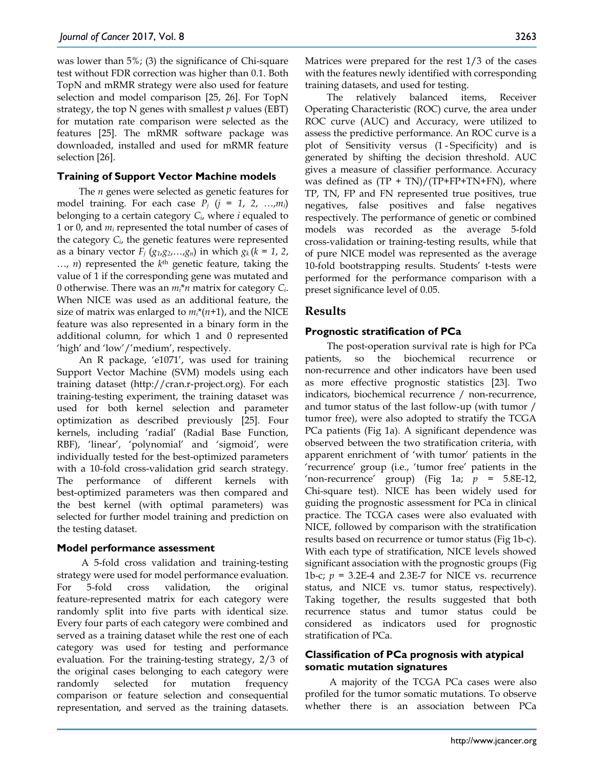was lower than 5%; (3) the significance of Chi-square test without FDR correction was higher than 0.1. Both TopN and mRMR strategy were also used for feature selection and model comparison [25, 26]. For TopN strategy, the top N genes with smallest *p* values (EBT) for mutation rate comparison were selected as the features [25]. The mRMR software package was downloaded, installed and used for mRMR feature selection [26].

#### **Training of Support Vector Machine models**

The *n* genes were selected as genetic features for model training. For each case  $P_i$  ( $j = 1, 2, ..., m_i$ ) belonging to a certain category *Ci*, where *i* equaled to 1 or 0, and *mi* represented the total number of cases of the category *Ci*, the genetic features were represented as a binary vector  $F_j$  ( $g_1, g_2, \ldots, g_n$ ) in which  $g_k$  ( $k = 1, 2,$ …, *n*) represented the *k*th genetic feature, taking the value of 1 if the corresponding gene was mutated and 0 otherwise. There was an *mi*\**n* matrix for category *Ci*. When NICE was used as an additional feature, the size of matrix was enlarged to *mi*\*(*n*+1), and the NICE feature was also represented in a binary form in the additional column, for which 1 and 0 represented 'high' and 'low'/'medium', respectively.

An R package, 'e1071', was used for training Support Vector Machine (SVM) models using each training dataset (http://cran.r-project.org). For each training-testing experiment, the training dataset was used for both kernel selection and parameter optimization as described previously [25]. Four kernels, including 'radial' (Radial Base Function, RBF), 'linear', 'polynomial' and 'sigmoid', were individually tested for the best-optimized parameters with a 10-fold cross-validation grid search strategy. The performance of different kernels with best-optimized parameters was then compared and the best kernel (with optimal parameters) was selected for further model training and prediction on the testing dataset.

#### **Model performance assessment**

A 5-fold cross validation and training-testing strategy were used for model performance evaluation. For 5-fold cross validation, the original feature-represented matrix for each category were randomly split into five parts with identical size. Every four parts of each category were combined and served as a training dataset while the rest one of each category was used for testing and performance evaluation. For the training-testing strategy, 2/3 of the original cases belonging to each category were randomly selected for mutation frequency comparison or feature selection and consequential representation, and served as the training datasets.

Matrices were prepared for the rest 1/3 of the cases with the features newly identified with corresponding training datasets, and used for testing.

The relatively balanced items, Receiver Operating Characteristic (ROC) curve, the area under ROC curve (AUC) and Accuracy, were utilized to assess the predictive performance. An ROC curve is a plot of Sensitivity versus (1 - Specificity) and is generated by shifting the decision threshold. AUC gives a measure of classifier performance. Accuracy was defined as  $(TP + TN)/(TP+FP+TN+FN)$ , where TP, TN, FP and FN represented true positives, true negatives, false positives and false negatives respectively. The performance of genetic or combined models was recorded as the average 5-fold cross-validation or training-testing results, while that of pure NICE model was represented as the average 10-fold bootstrapping results. Students' t-tests were performed for the performance comparison with a preset significance level of 0.05.

## **Results**

## **Prognostic stratification of PCa**

The post-operation survival rate is high for PCa patients, so the biochemical recurrence or non-recurrence and other indicators have been used as more effective prognostic statistics [23]. Two indicators, biochemical recurrence / non-recurrence, and tumor status of the last follow-up (with tumor / tumor free), were also adopted to stratify the TCGA PCa patients (Fig 1a). A significant dependence was observed between the two stratification criteria, with apparent enrichment of 'with tumor' patients in the 'recurrence' group (i.e., 'tumor free' patients in the 'non-recurrence' group) (Fig 1a;  $p = 5.8E-12$ , Chi-square test). NICE has been widely used for guiding the prognostic assessment for PCa in clinical practice. The TCGA cases were also evaluated with NICE, followed by comparison with the stratification results based on recurrence or tumor status (Fig 1b-c). With each type of stratification, NICE levels showed significant association with the prognostic groups (Fig 1b-c;  $p = 3.2E-4$  and 2.3E-7 for NICE vs. recurrence status, and NICE vs. tumor status, respectively). Taking together, the results suggested that both recurrence status and tumor status could be considered as indicators used for prognostic stratification of PCa.

#### **Classification of PCa prognosis with atypical somatic mutation signatures**

A majority of the TCGA PCa cases were also profiled for the tumor somatic mutations. To observe whether there is an association between PCa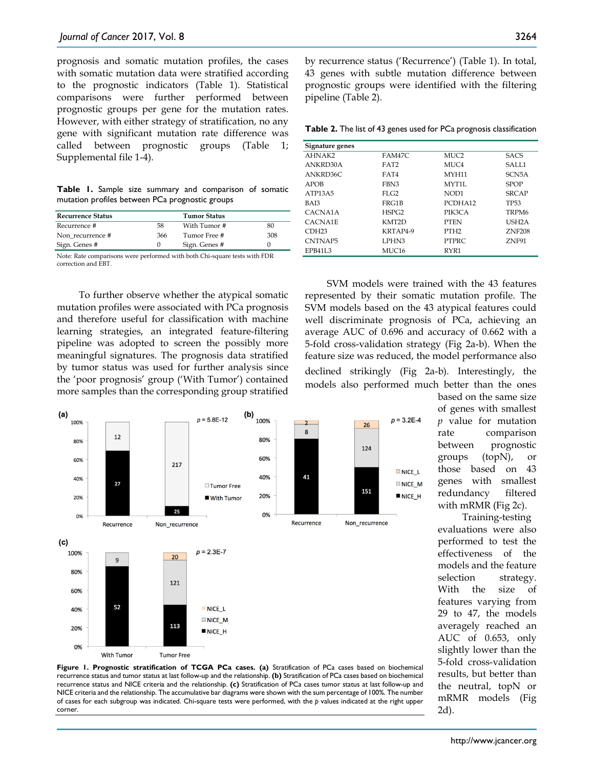prognosis and somatic mutation profiles, the cases with somatic mutation data were stratified according to the prognostic indicators (Table 1). Statistical comparisons were further performed between prognostic groups per gene for the mutation rates. However, with either strategy of stratification, no any gene with significant mutation rate difference was called between prognostic groups (Table 1; Supplemental file 1-4).

**Table 1.** Sample size summary and comparison of somatic mutation profiles between PCa prognostic groups

| <b>Recurrence Status</b> |     | <b>Tumor Status</b> |     |
|--------------------------|-----|---------------------|-----|
| Recurrence #             | 58  | With Tumor #        | 80  |
| Non recurrence #         | 366 | Tumor Free #        | 308 |
| Sign. Genes #            |     | Sign. Genes #       |     |

Note: Rate comparisons were performed with both Chi-square tests with FDR correction and EBT.

To further observe whether the atypical somatic mutation profiles were associated with PCa prognosis and therefore useful for classification with machine learning strategies, an integrated feature-filtering pipeline was adopted to screen the possibly more meaningful signatures. The prognosis data stratified by tumor status was used for further analysis since the 'poor prognosis' group ('With Tumor') contained more samples than the corresponding group stratified



by recurrence status ('Recurrence') (Table 1). In total, 43 genes with subtle mutation difference between prognostic groups were identified with the filtering pipeline (Table 2).

**Table 2.** The list of 43 genes used for PCa prognosis classification

| Signature genes                  |                   |                    |                    |
|----------------------------------|-------------------|--------------------|--------------------|
| AHNAK2                           | FAM47C            | MUC <sub>2</sub>   | <b>SACS</b>        |
| ANKRD30A                         | FAT <sub>2</sub>  | MUC4               | SALL1              |
| ANKRD36C                         | FAT4              | MYH11              | SCN <sub>5</sub> A |
| APOB                             | FBN3              | MYT <sub>1</sub> L | <b>SPOP</b>        |
| ATP <sub>13</sub> A <sub>5</sub> | $FI$ $G2$         | NOD1               | <b>SRCAP</b>       |
| BAI3                             | FRG1B             | PCDHA12            | TP <sub>53</sub>   |
| CACNA1A                          | HSPG2             | PIK3CA             | TRPM <sub>6</sub>  |
| CACNA1E                          | KMT2D             | <b>PTEN</b>        | USH <sub>2</sub> A |
| CDH <sub>23</sub>                | KRTAP4-9          | PTH <sub>2</sub>   | <b>ZNF208</b>      |
| CNTNAP <sub>5</sub>              | LPHN3             | <b>PTPRC</b>       | ZNF91              |
| EPB41L3                          | MUC <sub>16</sub> | RYR1               |                    |

SVM models were trained with the 43 features represented by their somatic mutation profile. The SVM models based on the 43 atypical features could well discriminate prognosis of PCa, achieving an average AUC of 0.696 and accuracy of 0.662 with a 5-fold cross-validation strategy (Fig 2a-b). When the feature size was reduced, the model performance also declined strikingly (Fig 2a-b). Interestingly, the models also performed much better than the ones



**Figure 1. Prognostic stratification of TCGA PCa cases. (a)** Stratification of PCa cases based on biochemical recurrence status and tumor status at last follow-up and the relationship. **(b)** Stratification of PCa cases based on biochemical recurrence status and NICE criteria and the relationship. **(c)** Stratification of PCa cases tumor status at last follow-up and NICE criteria and the relationship. The accumulative bar diagrams were shown with the sum percentage of 100%. The number of cases for each subgroup was indicated. Chi-square tests were performed, with the *p* values indicated at the right upper corner.

based on the same size of genes with smallest *p* value for mutation rate comparison between prognostic groups (topN), or those based on 43 genes with smallest redundancy filtered with mRMR (Fig 2c).

Training-testing evaluations were also performed to test the effectiveness of the models and the feature selection strategy. With the size of features varying from 29 to 47, the models averagely reached an AUC of 0.653, only slightly lower than the 5-fold cross-validation results, but better than the neutral, topN or mRMR models (Fig 2d).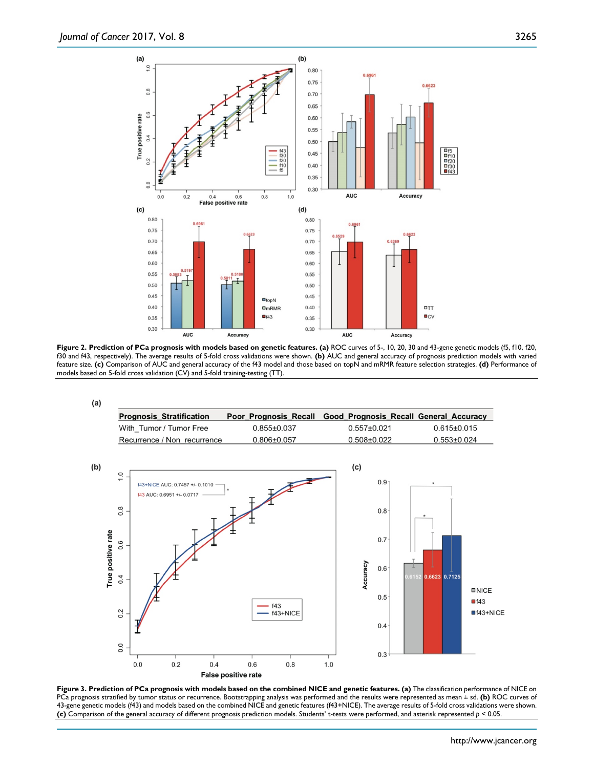

**Figure 2. Prediction of PCa prognosis with models based on genetic features. (a)** ROC curves of 5-, 10, 20, 30 and 43-gene genetic models (f5, f10, f20, f30 and f43, respectively). The average results of 5-fold cross validations were shown. **(b)** AUC and general accuracy of prognosis prediction models with varied feature size. **(c)** Comparison of AUC and general accuracy of the f43 model and those based on topN and mRMR feature selection strategies. **(d)** Performance of models based on 5-fold cross validation (CV) and 5-fold training-testing (TT).



**Figure 3. Prediction of PCa prognosis with models based on the combined NICE and genetic features. (a)** The classification performance of NICE on PCa prognosis stratified by tumor status or recurrence. Bootstrapping analysis was performed and the results were represented as mean ± sd. **(b)** ROC curves of 43-gene genetic models (f43) and models based on the combined NICE and genetic features (f43+NICE). The average results of 5-fold cross validations were shown. **(c)** Comparison of the general accuracy of different prognosis prediction models. Students' t-tests were performed, and asterisk represented *p* < 0.05.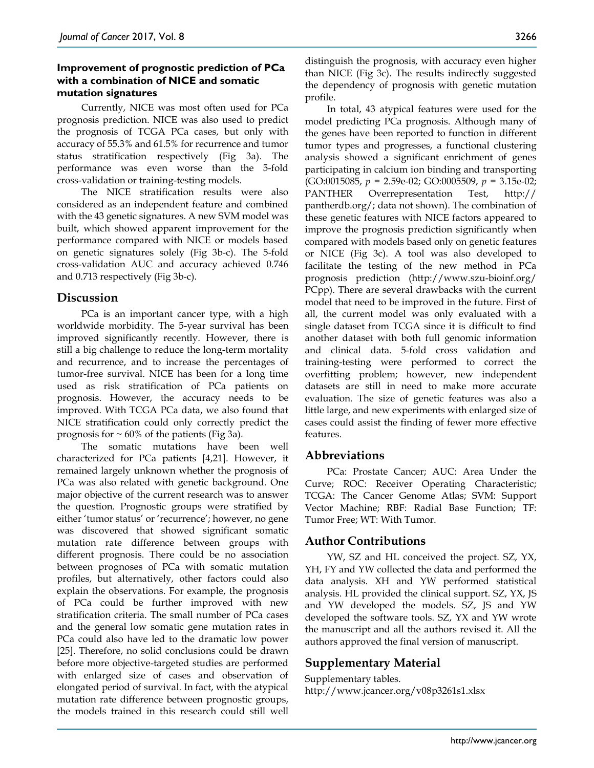#### **Improvement of prognostic prediction of PCa with a combination of NICE and somatic mutation signatures**

Currently, NICE was most often used for PCa prognosis prediction. NICE was also used to predict the prognosis of TCGA PCa cases, but only with accuracy of 55.3% and 61.5% for recurrence and tumor status stratification respectively (Fig 3a). The performance was even worse than the 5-fold cross-validation or training-testing models.

The NICE stratification results were also considered as an independent feature and combined with the 43 genetic signatures. A new SVM model was built, which showed apparent improvement for the performance compared with NICE or models based on genetic signatures solely (Fig 3b-c). The 5-fold cross-validation AUC and accuracy achieved 0.746 and 0.713 respectively (Fig 3b-c).

## **Discussion**

PCa is an important cancer type, with a high worldwide morbidity. The 5-year survival has been improved significantly recently. However, there is still a big challenge to reduce the long-term mortality and recurrence, and to increase the percentages of tumor-free survival. NICE has been for a long time used as risk stratification of PCa patients on prognosis. However, the accuracy needs to be improved. With TCGA PCa data, we also found that NICE stratification could only correctly predict the prognosis for  $\sim 60\%$  of the patients (Fig 3a).

The somatic mutations have been well characterized for PCa patients [4,21]. However, it remained largely unknown whether the prognosis of PCa was also related with genetic background. One major objective of the current research was to answer the question. Prognostic groups were stratified by either 'tumor status' or 'recurrence'; however, no gene was discovered that showed significant somatic mutation rate difference between groups with different prognosis. There could be no association between prognoses of PCa with somatic mutation profiles, but alternatively, other factors could also explain the observations. For example, the prognosis of PCa could be further improved with new stratification criteria. The small number of PCa cases and the general low somatic gene mutation rates in PCa could also have led to the dramatic low power [25]. Therefore, no solid conclusions could be drawn before more objective-targeted studies are performed with enlarged size of cases and observation of elongated period of survival. In fact, with the atypical mutation rate difference between prognostic groups, the models trained in this research could still well

distinguish the prognosis, with accuracy even higher than NICE (Fig 3c). The results indirectly suggested the dependency of prognosis with genetic mutation profile.

In total, 43 atypical features were used for the model predicting PCa prognosis. Although many of the genes have been reported to function in different tumor types and progresses, a functional clustering analysis showed a significant enrichment of genes participating in calcium ion binding and transporting (GO:0015085, *p* = 2.59e-02; GO:0005509, *p* = 3.15e-02; PANTHER Overrepresentation Test, http:// pantherdb.org/; data not shown). The combination of these genetic features with NICE factors appeared to improve the prognosis prediction significantly when compared with models based only on genetic features or NICE (Fig 3c). A tool was also developed to facilitate the testing of the new method in PCa prognosis prediction (http://www.szu-bioinf.org/ PCpp). There are several drawbacks with the current model that need to be improved in the future. First of all, the current model was only evaluated with a single dataset from TCGA since it is difficult to find another dataset with both full genomic information and clinical data. 5-fold cross validation and training-testing were performed to correct the overfitting problem; however, new independent datasets are still in need to make more accurate evaluation. The size of genetic features was also a little large, and new experiments with enlarged size of cases could assist the finding of fewer more effective features.

# **Abbreviations**

PCa: Prostate Cancer; AUC: Area Under the Curve; ROC: Receiver Operating Characteristic; TCGA: The Cancer Genome Atlas; SVM: Support Vector Machine; RBF: Radial Base Function; TF: Tumor Free; WT: With Tumor.

## **Author Contributions**

YW, SZ and HL conceived the project. SZ, YX, YH, FY and YW collected the data and performed the data analysis. XH and YW performed statistical analysis. HL provided the clinical support. SZ, YX, JS and YW developed the models. SZ, JS and YW developed the software tools. SZ, YX and YW wrote the manuscript and all the authors revised it. All the authors approved the final version of manuscript.

# **Supplementary Material**

Supplementary tables. http://www.jcancer.org/v08p3261s1.xlsx